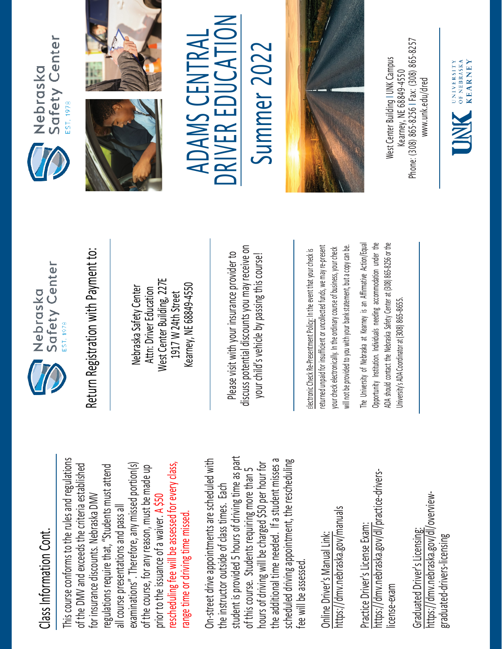## Class Information Cont. Class Information Cont.

This course conforms to the rules and regulations This course conforms to the rules and regulations rescheduling fee will be assessed for every class, examinations". Therefore, any missed portion(s) of the DMV and exceeds the criteria established regulations require that, "Students must attend of the DMV and exceeds the criteria established of the course, for any reason, must be made up rescheduling fee will be assessed for every class, regulations require that, "Students must attend examinations". Therefore, any missed portion(s) of the course, for any reason, must be made up for insurance discounts. Nebraska DMV for insurance discounts. Nebraska DMV prior to the issuance of a waiver. A \$50 all course presentations and pass all all course presentations and pass all range time or driving time missed. prior to the issuance of a waiver. range time or driving time missed

student is provided 5 hours of driving time as part On-street drive appointments are scheduled with student is provided 5 hours of driving time as part the additional time needed. If a student misses a scheduled driving appointment, the rescheduling the additional time needed. If a student misses a On-street drive appointments are scheduled with hours of driving will be charged \$50 per hour for hours of driving will be charged \$50 per hour for scheduled driving appointment, the rescheduling of this course. Students requiring more than 5 of this course. Students requiring more than 5 the instructor outside of class times. Each the instructor outside of class times. Each fee will be assessed. fee will be assessed

https://dmv.nebraska.gov/manuals https://dmv.nebraska.gov/manuals Online Driver's Manual Link: Online Driver's Manual Link:

https://dmv.nebraska.gov/dl/practice-drivershttps://dmv.nebraska.gov/dl/practice-drivers-Practice Driver's License Exam: Practice Driver's License Exam: license-exam icense-exam

https://dmv.nebraska.gov/dl/overviewhttps://dmv.nebraska.gov/dl/overview-Graduated Driver's Licensing: Graduated Driver's Licensing: graduated-drivers-licensing graduated-drivers-licensing



Return Registration with Payment to: Return Registration with Payment to:

West Center Building, 227E **Nest Center Building, 227E** Kearney, NE 68849-4550 Kearney, NE 68849-4550 Nebraska Safety Center Nebraska Safety Center Attn: Driver Education Attn: Driver Education 1917 W 24th Street 1917 W 24th Street

ss potential discounts you may receive on discuss potential discounts you may receive on Please visit with your insurance provider to Please visit with your insurance provider to your child's vehicle by passing this course! your child's vehicle by passing this course!

returned unpaid for insufficient or uncollected funds, we may re-present a copy can be. returned unpaid for insufficient or uncollected funds, we may re-present will not be provided to you with your bank statement, but a copy can be. your check electronically. In the ordinary course of business, your check your check electronically. In the ordinary course of business, your check electronic Check Re-Presentment Policy: In the event that your check is Electronic Check Re-Presentment Policy: In the event that your check is will not be provided to you with your bank statement, but

The University of Nebraska at Kearney is an Affirmative Action/Equal The University of Nebraska at Kearney is an Affirmative Action/Equal Opportunity Institution. Individuals needing accommodation under the ADA should contact the Nebraska Safety Center at (308) 865-8256 or the Opportunity Institution. Individuals needing accommodation under the ADA should contact the Nebraska Safety Center at (308) 865-8256 or the Jniversity's ADA Coordinator at (308) 865-8655. University's ADA Coordinator at (308) 86







DRIVER EDUCATION **DRIVER EDUCATION** ADAMS CENTRAL ADAMS CENTRAL Summer 2022

Summer 2022



Phone: (308) 865-8256 | Fax: (308) 865-8257 West Center Building I UNK Campus Nest Center Building I UNK Campus -8256 I Fax: (308) 865 Kearney, NE 68849-4550 www.unk.edu/dred [www.unk.edu/dred](http://www.unk.edu/dred) Kearney, NE 68849 Phone: (308) 865

UNIVERSITY<br>
OF NEBRASKA<br>
KFARNEY **KEARNEY**